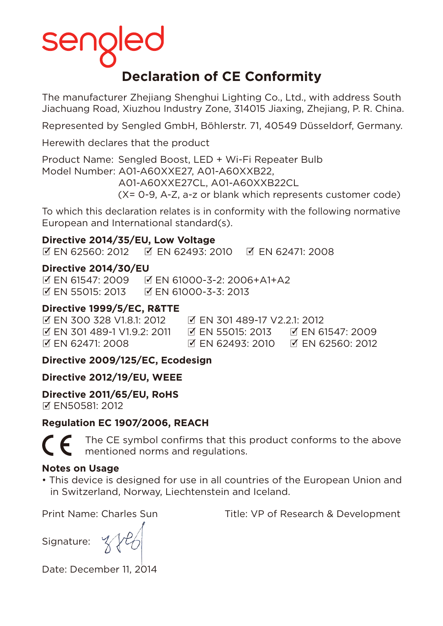## **Declaration of CE Conformity**

The manufacturer Zhejiang Shenghui Lighting Co., Ltd., with address South Jiachuang Road, Xiuzhou Industry Zone, 314015 Jiaxing, Zhejiang, P. R. China.

Represented by Sengled GmbH, Böhlerstr. 71, 40549 Düsseldorf, Germany.

Herewith declares that the product

Product Name: Sengled Boost, LED + Wi-Fi Repeater Bulb Model Number: A01-A60XXE27, A01-A60XXB22, A01-A60XXE27CL, A01-A60XXB22CL (X= 0-9, A-Z, a-z or blank which represents customer code)

To which this declaration relates is in conformity with the following normative European and International standard(s).

#### **Directive 2014/35/EU, Low Voltage**

EN 62560: 2012 EN 62493: 2010 EN 62471: 2008

#### **Directive 2014/30/EU**

 EN 61547: 2009 EN 61000-3-2: 2006+A1+A2 **Ø EN 55015: 2013** Ø EN 61000-3-3: 2013

#### **Directive 1999/5/EC, R&TTE**

EN 300 328 V1.8.1: 2012 EN 301 489-17 V2.2.1: 2012

**EN 301 489-1 V1.9.2: 2011 EN 55015: 2013 EN 61547: 2009** EN 62471: 2008 EN 62493: 2010 EN 62560: 2012

#### **Directive 2009/125/EC, Ecodesign**

**Directive 2012/19/EU, WEEE**

**Directive 2011/65/EU, RoHS MEN50581: 2012** 

### **Regulation EC 1907/2006, REACH**

 The CE symbol confirms that this product conforms to the above mentioned norms and regulations.

#### **Notes on Usage**

• This device is designed for use in all countries of the European Union and in Switzerland, Norway, Liechtenstein and Iceland.

Print Name: Charles Sun Title: VP of Research & Development

Signature:



Date: December 11, 2014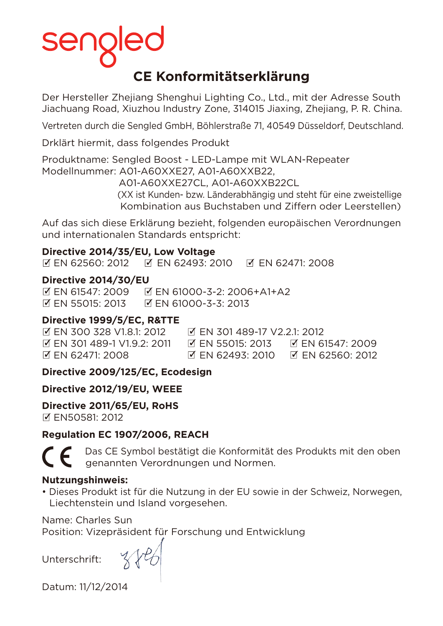## **CE Konformitätserklärung**

Der Hersteller Zhejiang Shenghui Lighting Co., Ltd., mit der Adresse South Jiachuang Road, Xiuzhou Industry Zone, 314015 Jiaxing, Zhejiang, P. R. China.

Vertreten durch die Sengled GmbH, Böhlerstraße 71, 40549 Düsseldorf, Deutschland.

Drklärt hiermit, dass folgendes Produkt

Produktname: Sengled Boost - LED-Lampe mit WLAN-Repeater Modellnummer: A01-A60XXE27, A01-A60XXB22,

A01-A60XXE27CL, A01-A60XXB22CL

 (XX ist Kunden- bzw. Länderabhängig und steht für eine zweistellige Kombination aus Buchstaben und Ziffern oder Leerstellen)

Auf das sich diese Erklärung bezieht, folgenden europäischen Verordnungen und internationalen Standards entspricht:

#### **Directive 2014/35/EU, Low Voltage**

EN 62560: 2012 EN 62493: 2010 EN 62471: 2008

#### **Directive 2014/30/EU**

 EN 61547: 2009 EN 61000-3-2: 2006+A1+A2  $\overline{M}$  EN 55015: 2013  $\overline{M}$  EN 61000-3-3: 2013

#### **Directive 1999/5/EC, R&TTE**

 EN 300 328 V1.8.1: 2012 EN 301 489-17 V2.2.1: 2012 EN 301 489-1 V1.9.2: 2011 EN 55015: 2013 EN 61547: 2009 FN 62471: 2008 **EN 62493: 2010 FN 62560: 2012** 

#### **Directive 2009/125/EC, Ecodesign**

#### **Directive 2012/19/EU, WEEE**

**Directive 2011/65/EU, RoHS**

EN50581: 2012

#### **Regulation EC 1907/2006, REACH**

 Das CE Symbol bestätigt die Konformität des Produkts mit den oben genannten Verordnungen und Normen.

#### **Nutzungshinweis:**

• Dieses Produkt ist für die Nutzung in der EU sowie in der Schweiz, Norwegen, Liechtenstein und Island vorgesehen.

Name: Charles Sun

Position: Vizepräsident für Forschung und Entwicklung

Unterschrift:

Datum: 11/12/2014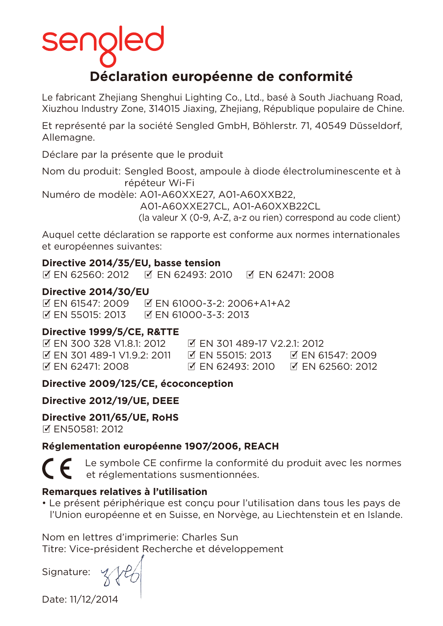### ser **Déclaration européenne de conformité**

Le fabricant Zhejiang Shenghui Lighting Co., Ltd., basé à South Jiachuang Road, Xiuzhou Industry Zone, 314015 Jiaxing, Zhejiang, République populaire de Chine.

Et représenté par la société Sengled GmbH, Böhlerstr. 71, 40549 Düsseldorf, Allemagne.

Déclare par la présente que le produit

Nom du produit: Sengled Boost, ampoule à diode électroluminescente et à répéteur Wi-Fi

Numéro de modèle: A01-A60XXE27, A01-A60XXB22,

A01-A60XXE27CL, A01-A60XXB22CL

(la valeur X (0-9, A-Z, a-z ou rien) correspond au code client)

Auquel cette déclaration se rapporte est conforme aux normes internationales et européennes suivantes:

**Directive 2014/35/EU, basse tension**

EN 62560: 2012 EN 62493: 2010 EN 62471: 2008

#### **Directive 2014/30/EU**

 EN 61547: 2009 EN 61000-3-2: 2006+A1+A2 **EN 55015: 2013 EN 61000-3-3: 2013** 

#### **Directive 1999/5/CE, R&TTE**

 EN 300 328 V1.8.1: 2012 EN 301 489-17 V2.2.1: 2012 EN 301 489-1 V1.9.2: 2011 EN 55015: 2013 EN 61547: 2009 EN 62471: 2008 EN 62493: 2010 EN 62560: 2012

**Directive 2009/125/CE, écoconception**

#### **Directive 2012/19/UE, DEEE**

**Directive 2011/65/UE, RoHS**

EN50581: 2012

#### **Réglementation européenne 1907/2006, REACH**

 Le symbole CE confirme la conformité du produit avec les normes et réglementations susmentionnées.

#### **Remarques relatives à l'utilisation**

• Le présent périphérique est conçu pour l'utilisation dans tous les pays de l'Union européenne et en Suisse, en Norvège, au Liechtenstein et en Islande.

Nom en lettres d'imprimerie: Charles Sun Titre: Vice-président Recherche et développement

Signature:

Date: 11/12/2014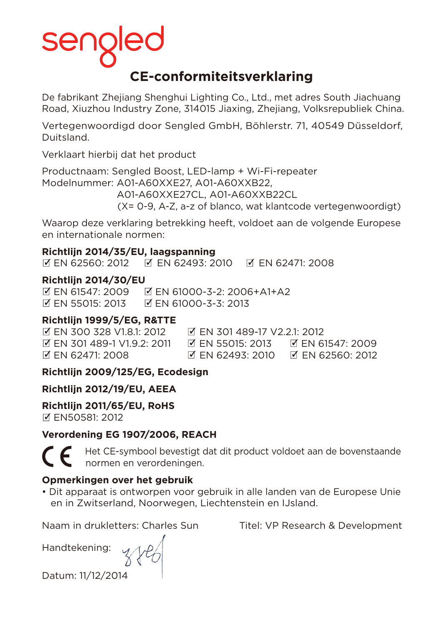# **CE-conformiteitsverklaring**

De fabrikant Zhejiang Shenghui Lighting Co., Ltd., met adres South Jiachuang Road, Xiuzhou Industry Zone, 314015 Jiaxing, Zhejiang, Volksrepubliek China.

Vertegenwoordigd door Sengled GmbH, Böhlerstr. 71, 40549 Düsseldorf, Duitsland.

Verklaart hierbij dat het product

Productnaam: Sengled Boost, LED-lamp + Wi-Fi-repeater Modelnummer: A01-A60XXE27, A01-A60XXB22,

A01-A60XXE27CL, A01-A60XXB22CL

(X= 0-9, A-Z, a-z of blanco, wat klantcode vertegenwoordigt)

Waarop deze verklaring betrekking heeft, voldoet aan de volgende Europese en internationale normen:

#### **Richtlijn 2014/35/EU, laagspanning**

EN 62560: 2012 EN 62493: 2010 EN 62471: 2008

#### **Richtlijn 2014/30/EU**

 EN 61547: 2009 EN 61000-3-2: 2006+A1+A2  $\overline{M}$  EN 55015: 2013  $\overline{M}$  EN 61000-3-3: 2013

#### **Richtlijn 1999/5/EG, R&TTE**

 EN 300 328 V1.8.1: 2012 EN 301 489-17 V2.2.1: 2012 EN 301 489-1 V1.9.2: 2011 EN 55015: 2013 EN 61547: 2009 FN 62471: 2008 **EN 62493: 2010 EN 62560: 2012** 

#### **Richtlijn 2009/125/EG, Ecodesign**

**Richtlijn 2012/19/EU, AEEA**

**Richtlijn 2011/65/EU, RoHS** EN50581: 2012

#### **Verordening EG 1907/2006, REACH**

 Het CE-symbool bevestigt dat dit product voldoet aan de bovenstaande normen en verordeningen.

#### **Opmerkingen over het gebruik**

• Dit apparaat is ontworpen voor gebruik in alle landen van de Europese Unie en in Zwitserland, Noorwegen, Liechtenstein en IJsland.

Naam in drukletters: Charles Sun Titel: VP Research & Development

Handtekening:

Datum: 11/12/2014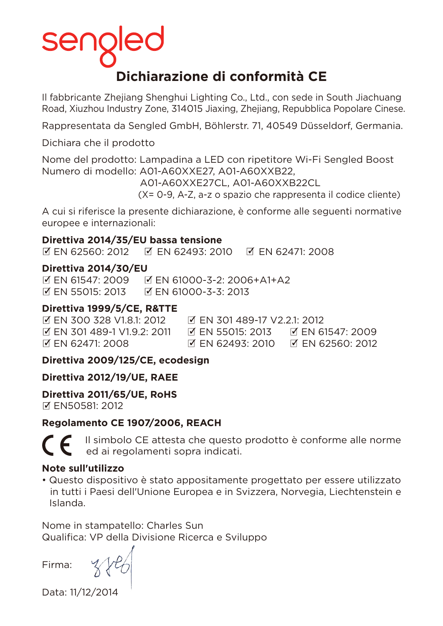## **Dichiarazione di conformità CE**

Il fabbricante Zhejiang Shenghui Lighting Co., Ltd., con sede in South Jiachuang Road, Xiuzhou Industry Zone, 314015 Jiaxing, Zhejiang, Repubblica Popolare Cinese.

Rappresentata da Sengled GmbH, Böhlerstr. 71, 40549 Düsseldorf, Germania.

Dichiara che il prodotto

Nome del prodotto: Lampadina a LED con ripetitore Wi-Fi Sengled Boost Numero di modello: A01-A60XXE27, A01-A60XXB22,

A01-A60XXE27CL, A01-A60XXB22CL

(X= 0-9, A-Z, a-z o spazio che rappresenta il codice cliente)

A cui si riferisce la presente dichiarazione, è conforme alle seguenti normative europee e internazionali:

#### **Direttiva 2014/35/EU bassa tensione**

EN 62560: 2012 EN 62493: 2010 EN 62471: 2008

#### **Direttiva 2014/30/EU**

 EN 61547: 2009 EN 61000-3-2: 2006+A1+A2 **Ø EN 55015: 2013** Ø EN 61000-3-3: 2013

#### **Direttiva 1999/5/CE, R&TTE**

 EN 300 328 V1.8.1: 2012 EN 301 489-17 V2.2.1: 2012 EN 301 489-1 V1.9.2: 2011 EN 55015: 2013 EN 61547: 2009 EN 62471: 2008 EN 62493: 2010 EN 62560: 2012

#### **Direttiva 2009/125/CE, ecodesign**

**Direttiva 2012/19/UE, RAEE**

**Direttiva 2011/65/UE, RoHS**

**MEN50581: 2012** 

#### **Regolamento CE 1907/2006, REACH**

 Il simbolo CE attesta che questo prodotto è conforme alle norme ed ai regolamenti sopra indicati.

#### **Note sull'utilizzo**

• Questo dispositivo è stato appositamente progettato per essere utilizzato in tutti i Paesi dell'Unione Europea e in Svizzera, Norvegia, Liechtenstein e Islanda.

Nome in stampatello: Charles Sun Qualifica: VP della Divisione Ricerca e Sviluppo

Firma:

Data: 11/12/2014